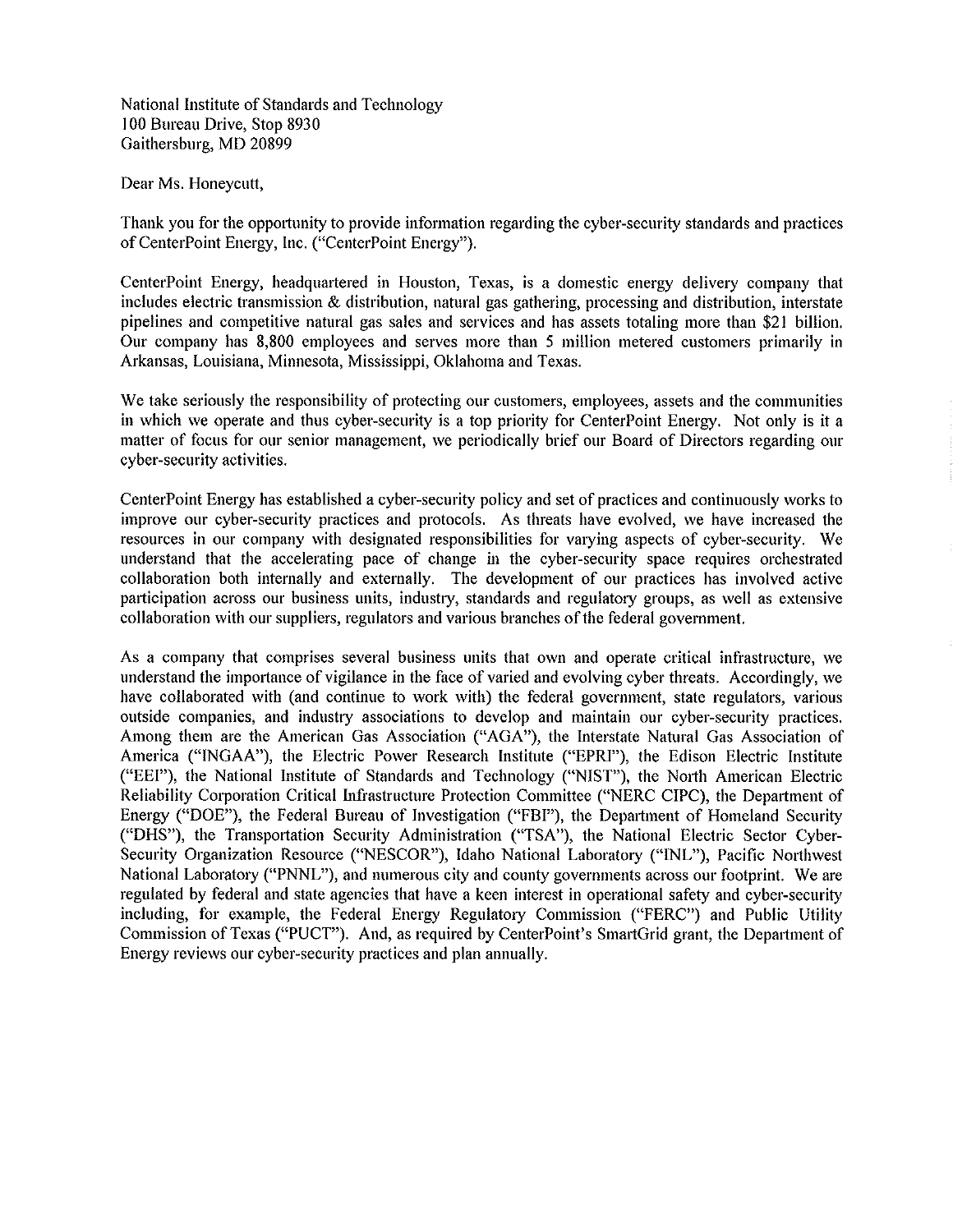National Institute of Standards and Technology I 00 Bureau Drive, Stop 8930 Gaithersburg, MD 20899

Dear Ms. Honeycutt,

Thank you for the opportunity to provide information regarding the cyber-security standards and practices of CenterPoint Energy, Inc. ("CenterPoint Energy").

CenterPoint Energy, headquartered in Houston, Texas, is a domestic energy delivery company that includes electric transmission & distribution, natural gas gathering, processing and distribution, interstate pipelines and competitive natural gas sales and services and has assets totaling more than \$21 billion. Our company has 8,800 employees and serves more than 5 million metered customers primarily in Arkansas, Louisiana, Minnesota, Mississippi, Oklahoma and Texas.

We take seriously the responsibility of protecting our customers, employees, assets and the communities in which we operate and thus cyber-security is a top priority for CenterPoint Energy. Not only is it a matter of focus for our senior management, we periodically brief our Board of Directors regarding our cyber-security activities.

CenterPoint Energy has established a cyber-security policy and set of practices and continuously works to improve our cyber-security practices and protocols. As threats have evolved, we have increased the resources in our company with designated responsibilities for varying aspects of cyber-security. We understand that the accelerating pace of change in the cyber-security space requires orchestrated collaboration both internally and externally. The development of our practices has involved active participation across our business units, industry, standards and regulatory groups, as well as extensive collaboration with our suppliers, regulators and various branches of the federal government.

As a company that comprises several business units that own and operate critical infrastructure, we understand the importance of vigilance in the face of varied and evolving cyber threats. Accordingly, we have collaborated with (and continue to work with) the federal government, state regulators, various outside companies, and industty associations to develop and maintain our cyber-security practices. Among them are the American Gas Association ("AGA"), the Interstate Natural Gas Association of America ("INGAA"), the Electric Power Research Institute ("EPRI"), the Edison Electric Institute ("EEI"), the National Institute of Standards and Technology ("NIST"), the North American Electric Reliability Corporation Critical Infrastructure Protection Committee ("NERC CIPC), the Department of Energy ("DOE"), the Federal Bureau of Investigation ("FBI"), the Depmtment of Homeland Security ("DHS"), the Transportation Security Administration ('TSA"), the National Electric Sector Cyber-Security Organization Resource ("NESCOR"), Idaho National Laboratory ("INL"), Pacific Northwest National Laboratory ("PNNL"), and numerous city and county governments across our footprint. We are regulated by federal and state agencies that have a keen interest in operational safety and cyber-security including, for example, the Federal Energy Regulatory Commission ("FERC") and Public Utility Commission of Texas ("PUCT"). And, as required by CenterPoint's SmartGrid grant, the Department of Energy reviews our cyber-security practices and plan annually.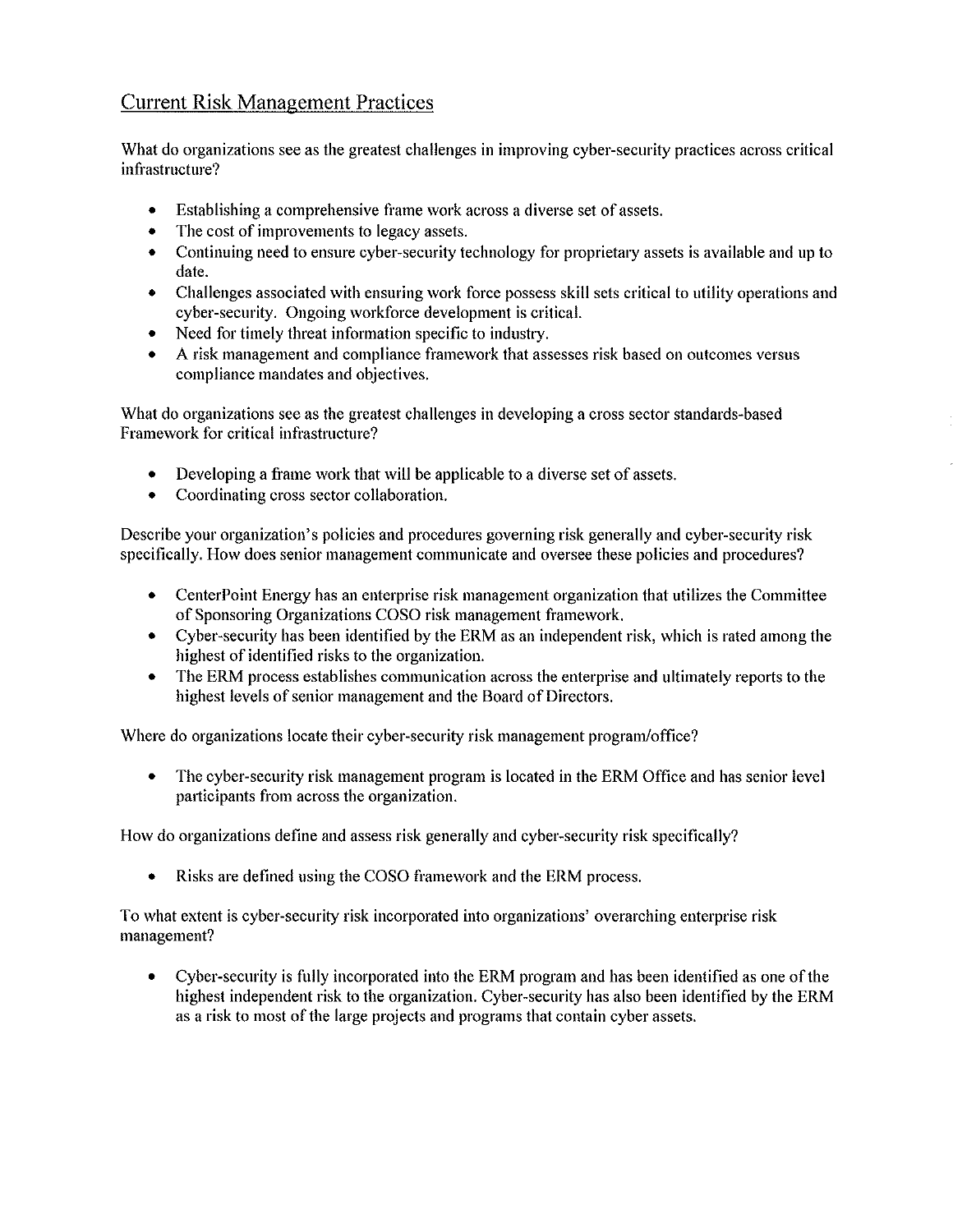## Current Risk Management Practices

What do organizations see as the greatest challenges in improving cyber-security practices across critical infrastructure?

- Establishing a comprehensive frame work across a diverse set of assets.
- The cost of improvements to legacy assets.
- Continuing need to ensure cyber-security technology for proprietary assets is available and up to date.
- Challenges associated with ensuring work force possess skill sets critical to utility operations and cyber-security. Ongoing workforce development is critical.
- Need for timely threat information specific to industry.
- A risk management and compliance framework that assesses risk based on outcomes versus compliance mandates and objectives.

What do organizations see as the greatest challenges in developing a cross sector standards-based Framework for critical infrastructure?

- Developing a frame work that will be applicable to a diverse set of assets.
- Coordinating cross sector collaboration.

Describe your organization's policies and procedures governing risk generally and cyber-security risk specifically. How does senior management communicate and oversee these policies and procedures?

- CenterPoint Energy has an enterprise risk management organization that utilizes the Committee of Sponsoring Organizations COSO risk management framework.
- Cyber-security has been identified by the ERM as an independent risk, which is rated among the highest of identified risks to the organization.
- The ERM process establishes communication across the enterprise and ultimately reports to the highest levels of senior management and the Board of Directors.

Where do organizations locate their cyber-security risk management program/office?

• The cyber-security risk management program is located in the ERM Office and has senior level participants from across the organization.

How do organizations define and assess risk generally and cyber-security risk specifically?

• Risks are defined using the COSO framework and the ERM process.

To what extent is cyber-security risk incorporated into organizations' overarching enterprise risk management?

• Cyber-security is fully incorporated into the ERM program and has been identified as one of the highest independent risk to the organization. Cyber-security has also been identified by the ERM as a risk to most of the large projects and programs that contain cyber assets.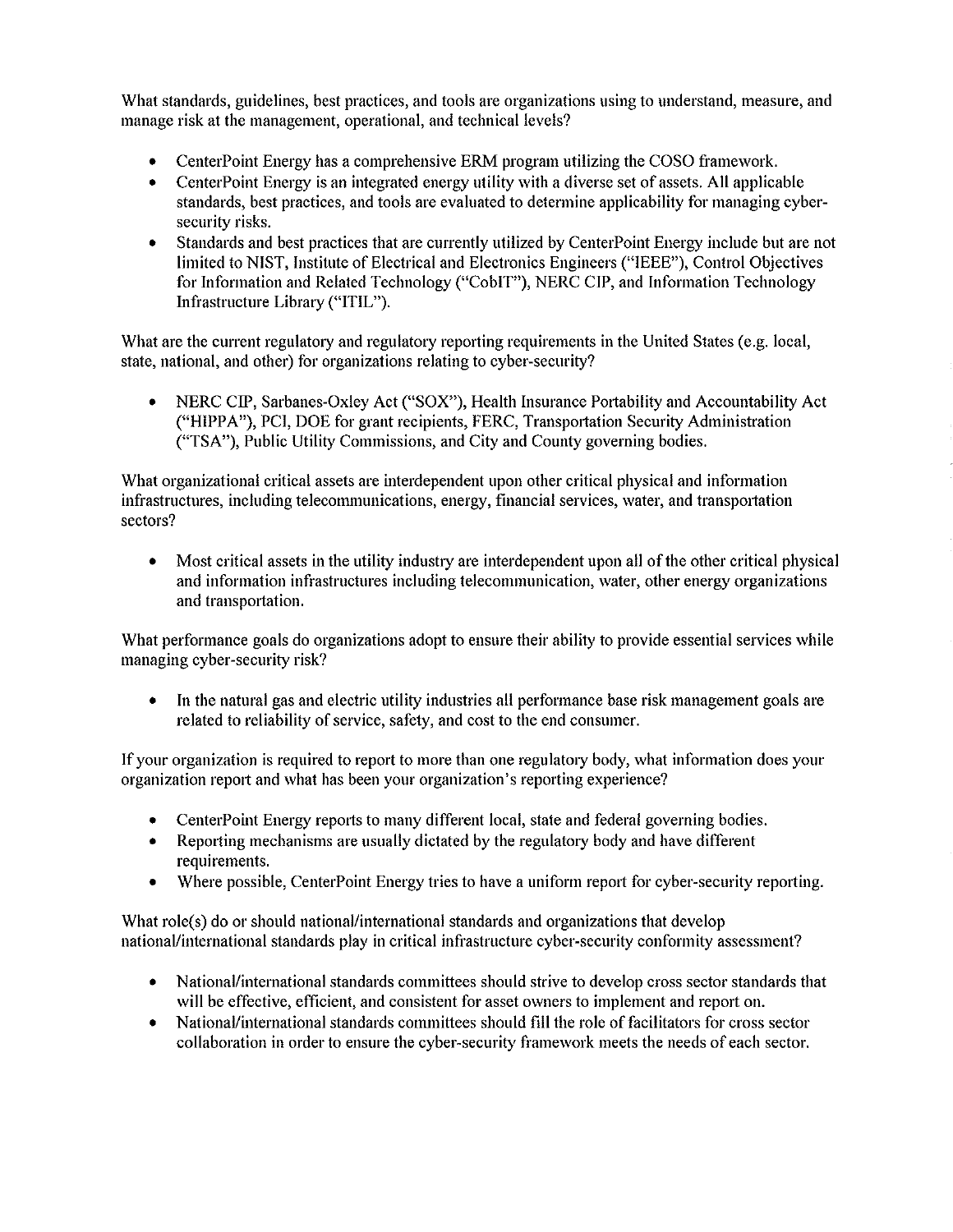What standards, guidelines, best practices, and tools are organizations using to understand, measure, and manage risk at the management, operational, and technical levels?

- CenterPoint Energy has a comprehensive ERM program utilizing the COSO framework.
- CenterPoint Energy is an integrated energy utility with a diverse set of assets. All applicable standards, best practices, and tools are evaluated to determine applicability for managing cybersecurity risks.
- Standards and best practices that are currently utilized by CenterPoint Energy include but are not limited to NIST, Institute of Electrical and Electronics Engineers ("IEEE"), Control Objectives for Information and Related Technology ("CobIT"), NERC CIP, and Information Technology Infrastructure Library ("ITIL").

What are the current regulatory and regulatory reporting requirements in the United States (e.g. local, state, national, and other) for organizations relating to cyber-security?

• NERC CIP, Sarbanes-Oxley Act ("SOX"), Health Insurance Portability and Accountability Act ("HIPPA"), PCI, DOE for grant recipients, FERC, Transpottation Security Administration ("TSA"), Public Utility Commissions, and City and County governing bodies.

What organizational critical assets are interdependent upon other critical physical and information infrastructures, including telecommunications, energy, financial services, water, and transpottation sectors?

• Most critical assets in the utility industry are interdependent upon all of the other critical physical and information infrastructures including telecommunication, water, other energy organizations and transpottation.

What performance goals do organizations adopt to ensure their ability to provide essential services while managing cyber-security risk?

• In the natural gas and electric utility industries all performance base risk management goals are related to reliability of service, safety, and cost to the end consumer.

If your organization is required to report to more than one regulatory body, what information does your organization repott and what has been your organization's reporting experience?

- CenterPoint Energy reports to many different local, state and federal governing bodies.
- Repotting mechanisms are usually dictated by the regulatory body and have different requirements.
- Where possible, CenterPoint Energy tries to have a uniform repott for cyber-security repotting.

What role(s) do or should national/international standards and organizations that develop nationaVinternational standards play in critical infrastructure cyber-security conformity assessment?

- National/international standards committees should strive to develop cross sector standards that will be effective, efficient, and consistent for asset owners to implement and repott on.
- National/international standards committees should fill the role of facilitators for cross sector collaboration in order to ensure the cyber-security framework meets the needs of each sector.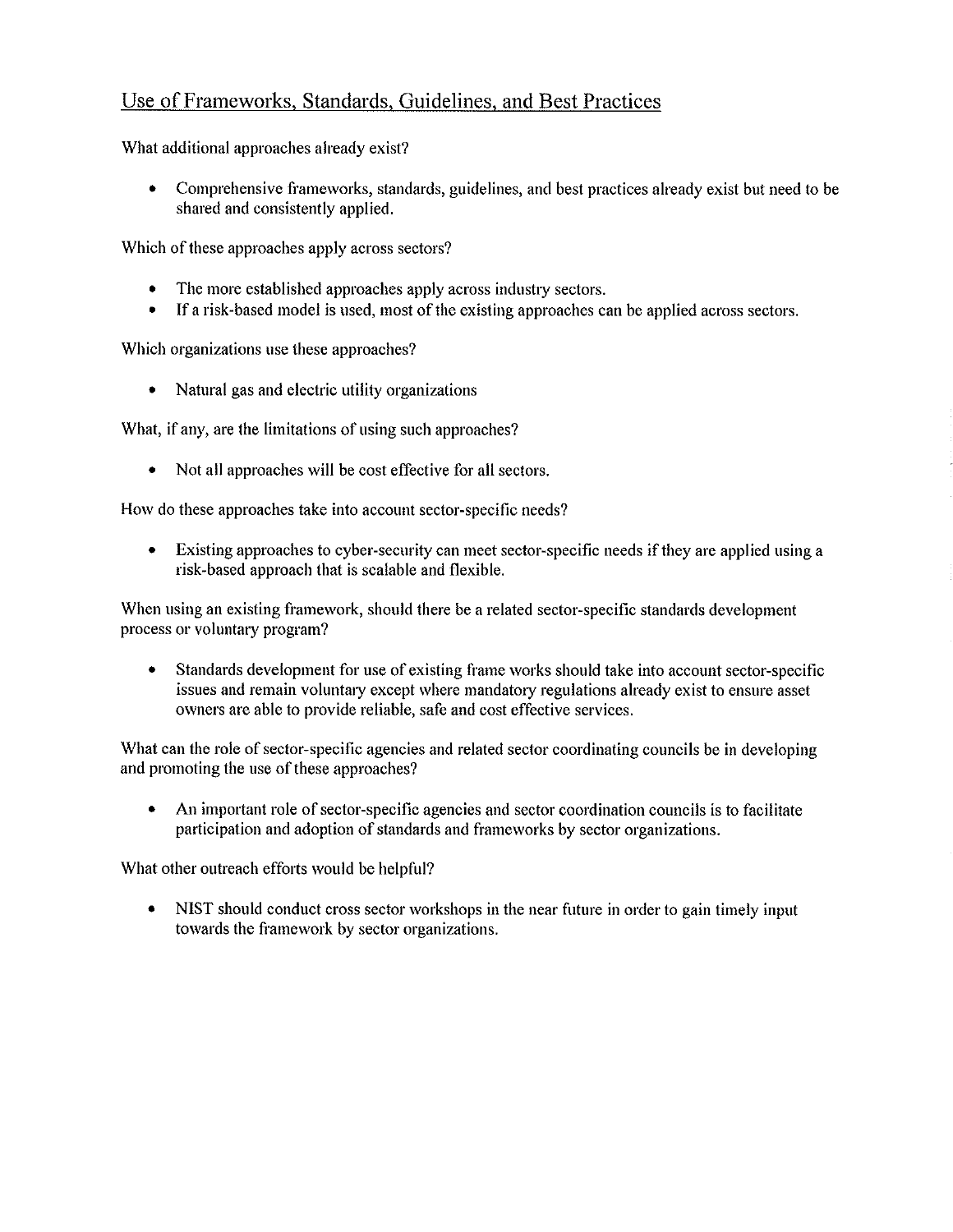## Use of Frameworks, Standards, Guidelines, and Best Practices

What additional approaches already exist?

• Comprehensive frameworks, standards, guidelines, and best practices already exist but need to be shared and consistently applied.

Which of these approaches apply across sectors?

- The more established approaches apply across industry sectors.
- If a risk-based model is used, most of the existing approaches can be applied across sectors.

Which organizations use these approaches?

• Natural gas and electric utility organizations

What, if any, are the limitations of using such approaches?

• Not all approaches will be cost effective for all sectors.

How do these approaches take into account sector-specific needs?

• Existing approaches to cyber-security can meet sector-specific needs if they are applied using a risk-based approach that is scalable and flexible.

When using an existing framework, should there be a related sector-specific standards development process or voluntary program?

• Standards development for use of existing frame works should take into account sector-specific issues and remain voluntary except where mandatory regulations already exist to ensure asset owners are able to provide reliable, safe and cost effective services.

What can the role of sector-specific agencies and related sector coordinating councils be in developing and promoting the use of these approaches?

• An important role of sector-specific agencies and sector coordination councils is to facilitate participation and adoption of standards and frameworks by sector organizations.

What other outreach efforts would be helpful?

• NIST should conduct cross sector workshops in the near future in order to gain timely input towards the framework by sector organizations.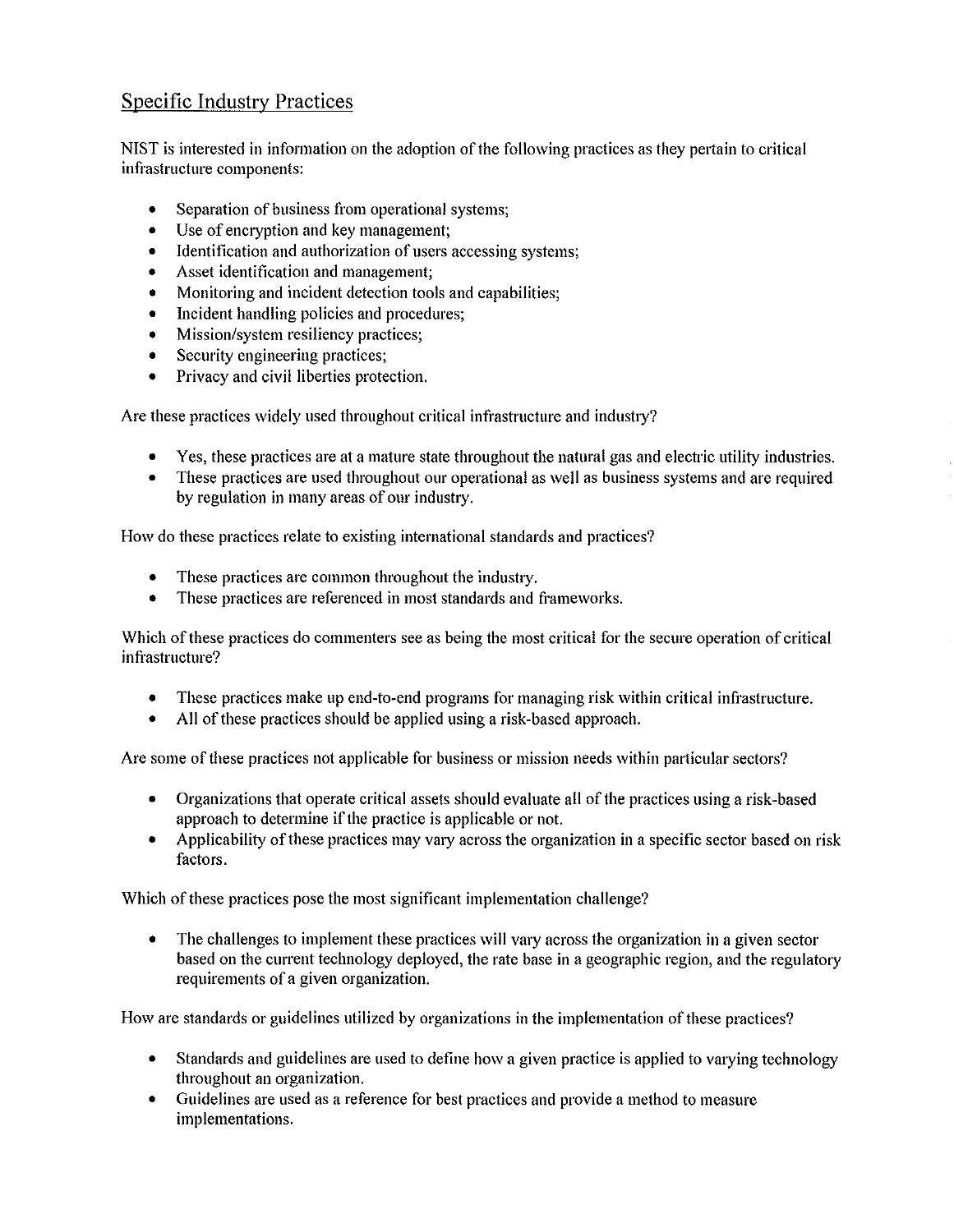## Specific Industry Practices

NIST is interested in information on the adoption of the following practices as they pettain to critical infrastructure components:

- Separation of business from operational systems;
- Use of encryption and key management;
- Identification and authorization of users accessing systems;
- Asset identification and management;
- Monitoring and incident detection tools and capabilities;
- Incident handling policies and procedures;
- Mission/system resiliency practices;
- Security engineering practices:
- Privacy and civil liberties protection.

Are these practices widely used throughout critical infrastructure and industry?

- Yes, these practices are at a mature state throughout the natural gas and electric utility industries.
- These practices are used throughout our operational as well as business systems and are required by regulation in many areas of our industry.

How do these practices relate to existing international standards and practices?

- These practices are common throughout the industry.
- These practices are referenced in most standards and frameworks.

Which of these practices do commenters see as being the most critical for the secure operation of critical infrastructure?

- These practices make up end-to-end programs for managing risk within critical infrastructure.
- All of these practices should be applied using a risk-based approach.

Are some of these practices not applicable for business or mission needs within particular sectors?

- Organizations that operate critical assets should evaluate all of the practices using a risk-based approach to determine if the practice is applicable or not.
- Applicability of these practices may vary across the organization in a specific sector based on risk factors.

Which of these practices pose the most significant implementation challenge?

• The challenges to implement these practices will vary across the organization in a given sector based on the current technology deployed, the rate base in a geographic region, and the regulatory requirements of a given organization.

How are standards or guidelines utilized by organizations in the implementation of these practices?

- Standards and guidelines are used to define how a given practice is applied to varying technology throughout an organization.
- Guidelines are used as a reference for best practices and provide a method to measure implementations.